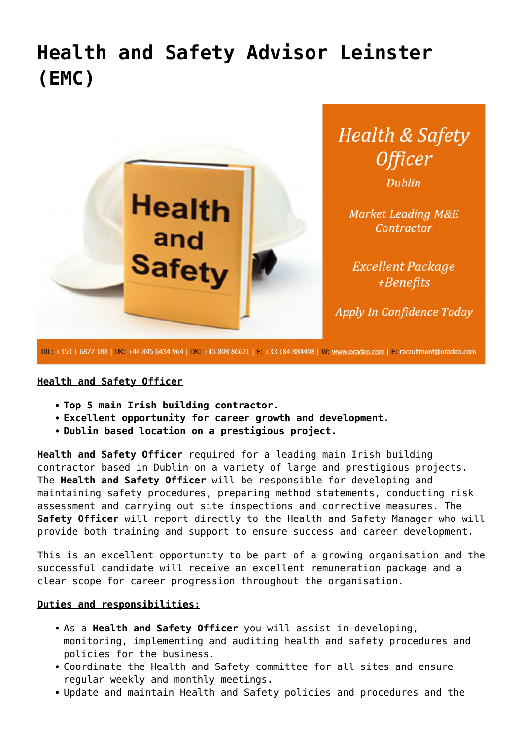# **[Health and Safety Advisor Leinster](https://oradeo.com/job/health-and-safety-advisor-leinster-emc-5/) [\(EMC\)](https://oradeo.com/job/health-and-safety-advisor-leinster-emc-5/)**



IRL: +353 1 6877 188 | UK: +44 845 6434 964 | DK: +45 898 86621 | F: +33 184 884498 | W: www.oradeo.com | E: recruitment@oradeo.com

#### **Health and Safety Officer**

- **Top 5 main Irish building contractor.**
- **Excellent opportunity for career growth and development.**
- **Dublin based location on a prestigious project.**

**Health and Safety Officer** required for a leading main Irish building contractor based in Dublin on a variety of large and prestigious projects. The **Health and Safety Officer** will be responsible for developing and maintaining safety procedures, preparing method statements, conducting risk assessment and carrying out site inspections and corrective measures. The **Safety Officer** will report directly to the Health and Safety Manager who will provide both training and support to ensure success and career development.

This is an excellent opportunity to be part of a growing organisation and the successful candidate will receive an excellent remuneration package and a clear scope for career progression throughout the organisation.

#### **Duties and responsibilities:**

- As a **Health and Safety Officer** you will assist in developing, monitoring, implementing and auditing health and safety procedures and policies for the business.
- Coordinate the Health and Safety committee for all sites and ensure regular weekly and monthly meetings.
- Update and maintain Health and Safety policies and procedures and the